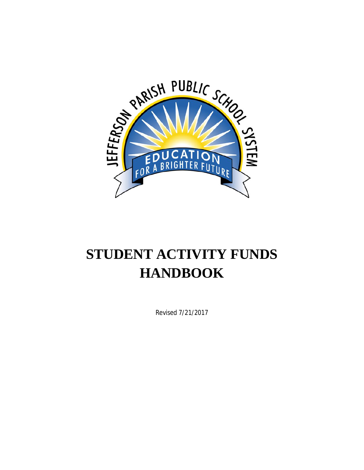

# **STUDENT ACTIVITY FUNDS HANDBOOK**

Revised 7/21/2017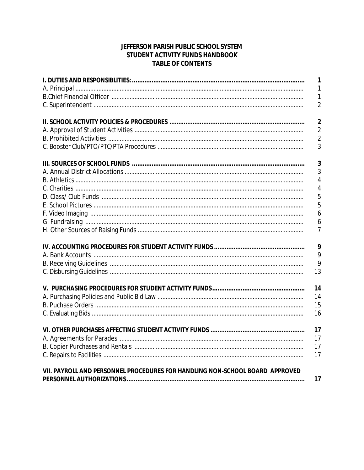## JEFFERSON PARISH PUBLIC SCHOOL SYSTEM STUDENT ACTIVITY FUNDS HANDBOOK **TABLE OF CONTENTS**

|                                                                              | $\mathbf{1}$   |
|------------------------------------------------------------------------------|----------------|
|                                                                              | $\mathbf{1}$   |
|                                                                              | $\mathbf{1}$   |
|                                                                              | $\overline{2}$ |
|                                                                              | $\overline{2}$ |
|                                                                              | $\overline{2}$ |
|                                                                              | $\overline{2}$ |
|                                                                              | 3              |
|                                                                              | 3              |
|                                                                              | 3              |
|                                                                              | 4              |
|                                                                              | 4              |
|                                                                              | 5              |
|                                                                              | 5              |
|                                                                              | 6              |
|                                                                              | 6              |
|                                                                              | 7              |
|                                                                              | 9              |
|                                                                              | 9              |
|                                                                              | 9              |
|                                                                              | 13             |
|                                                                              | 14             |
|                                                                              | 14             |
|                                                                              | 15             |
|                                                                              | 16             |
|                                                                              | 17             |
|                                                                              | 17             |
|                                                                              | 17             |
|                                                                              | 17             |
| VII. PAYROLL AND PERSONNEL PROCEDURES FOR HANDLING NON-SCHOOL BOARD APPROVED | 17             |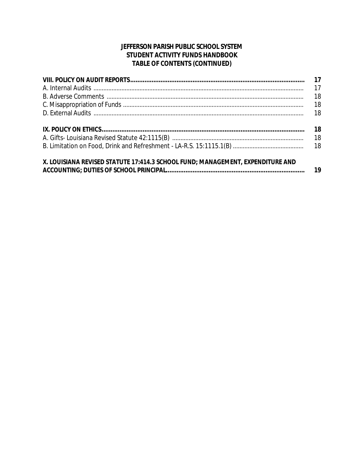## JEFFERSON PARISH PUBLIC SCHOOL SYSTEM STUDENT ACTIVITY FUNDS HANDBOOK TABLE OF CONTENTS (CONTINUED)

|                                                                                | 17 |
|--------------------------------------------------------------------------------|----|
|                                                                                | 17 |
|                                                                                | 18 |
|                                                                                | 18 |
|                                                                                | 18 |
|                                                                                | 18 |
|                                                                                |    |
|                                                                                |    |
| X. LOUISIANA REVISED STATUTE 17:414.3 SCHOOL FUND; MANAGEMENT, EXPENDITURE AND |    |
|                                                                                |    |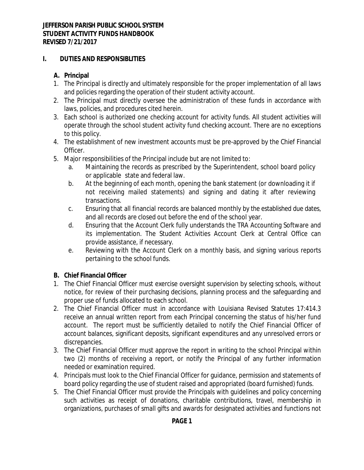## **I. DUTIES AND RESPONSIBLITIES**

# **A. Principal**

- 1. The Principal is directly and ultimately responsible for the proper implementation of all laws and policies regarding the operation of their student activity account.
- 2. The Principal must directly oversee the administration of these funds in accordance with laws, policies, and procedures cited herein.
- 3. Each school is authorized one checking account for activity funds. All student activities will operate through the school student activity fund checking account. There are no exceptions to this policy.
- 4. The establishment of new investment accounts must be pre-approved by the Chief Financial Officer.
- 5. Major responsibilities of the Principal include but are not limited to:
	- a. Maintaining the records as prescribed by the Superintendent, school board policy or applicable state and federal law.
	- b. At the beginning of each month, opening the bank statement (or downloading it if not receiving mailed statements) and signing and dating it after reviewing transactions.
	- c. Ensuring that all financial records are balanced monthly by the established due dates, and all records are closed out before the end of the school year.
	- d. Ensuring that the Account Clerk fully understands the TRA Accounting Software and its implementation. The Student Activities Account Clerk at Central Office can provide assistance, if necessary.
	- e. Reviewing with the Account Clerk on a monthly basis, and signing various reports pertaining to the school funds.

# **B. Chief Financial Officer**

- 1. The Chief Financial Officer must exercise oversight supervision by selecting schools, without notice, for review of their purchasing decisions, planning process and the safeguarding and proper use of funds allocated to each school.
- 2. The Chief Financial Officer must in accordance with Louisiana Revised Statutes 17:414.3 receive an annual written report from each Principal concerning the status of his/her fund account. The report must be sufficiently detailed to notify the Chief Financial Officer of account balances, significant deposits, significant expenditures and any unresolved errors or discrepancies.
- 3. The Chief Financial Officer must approve the report in writing to the school Principal within two (2) months of receiving a report, or notify the Principal of any further information needed or examination required.
- 4. Principals must look to the Chief Financial Officer for guidance, permission and statements of board policy regarding the use of student raised and appropriated (board furnished) funds.
- 5. The Chief Financial Officer must provide the Principals with guidelines and policy concerning such activities as receipt of donations, charitable contributions, travel, membership in organizations, purchases of small gifts and awards for designated activities and functions not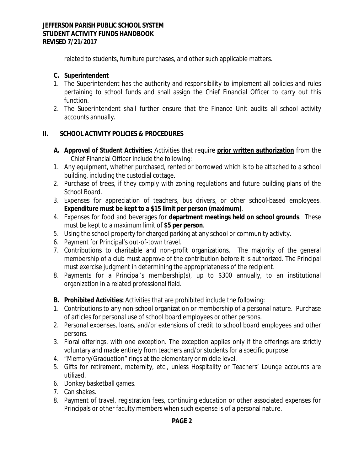related to students, furniture purchases, and other such applicable matters.

## **C. Superintendent**

- 1. The Superintendent has the authority and responsibility to implement all policies and rules pertaining to school funds and shall assign the Chief Financial Officer to carry out this function.
- 2. The Superintendent shall further ensure that the Finance Unit audits all school activity accounts annually.

## **II. SCHOOL ACTIVITY POLICIES & PROCEDURES**

- **A. Approval of Student Activities:** Activities that require **prior written authorization** from the Chief Financial Officer include the following:
- 1. Any equipment, whether purchased, rented or borrowed which is to be attached to a school building, including the custodial cottage.
- 2. Purchase of trees, if they comply with zoning regulations and future building plans of the School Board.
- 3. Expenses for appreciation of teachers, bus drivers, or other school-based employees. **Expenditure must be kept to a \$15 limit per person (maximum)**.
- 4. Expenses for food and beverages for **department meetings held on school grounds**. These must be kept to a maximum limit of **\$5 per person**.
- 5. Using the school property for charged parking at any school or community activity.
- 6. Payment for Principal's out-of-town travel.
- 7. Contributions to charitable and non-profit organizations. The majority of the general membership of a club must approve of the contribution before it is authorized. The Principal must exercise judgment in determining the appropriateness of the recipient.
- 8. Payments for a Principal's membership(s), up to \$300 annually, to an institutional organization in a related professional field.
- **B. Prohibited Activities:** Activities that are prohibited include the following:
- 1. Contributions to any non-school organization or membership of a personal nature. Purchase of articles for personal use of school board employees or other persons.
- 2. Personal expenses, loans, and/or extensions of credit to school board employees and other persons.
- 3. Floral offerings, with one exception. The exception applies only if the offerings are strictly voluntary and made entirely from teachers and/or students for a specific purpose.
- 4. "Memory/Graduation" rings at the elementary or middle level.
- 5. Gifts for retirement, maternity, etc., unless Hospitality or Teachers' Lounge accounts are utilized.
- 6. Donkey basketball games.
- 7. Can shakes.
- 8. Payment of travel, registration fees, continuing education or other associated expenses for Principals or other faculty members when such expense is of a personal nature.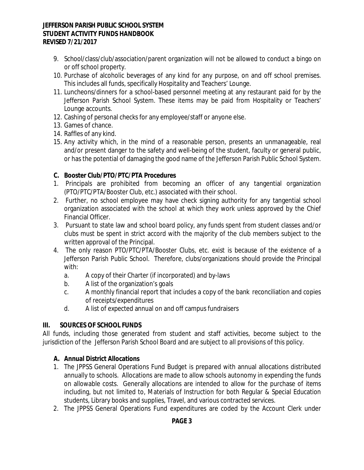- 9. School/class/club/association/parent organization will not be allowed to conduct a bingo on or off school property.
- 10. Purchase of alcoholic beverages of any kind for any purpose, on and off school premises. This includes all funds, specifically Hospitality and Teachers' Lounge.
- 11. Luncheons/dinners for a school-based personnel meeting at any restaurant paid for by the Jefferson Parish School System. These items may be paid from Hospitality or Teachers' Lounge accounts.
- 12. Cashing of personal checks for any employee/staff or anyone else.
- 13. Games of chance.
- 14. Raffles of any kind.
- 15. Any activity which, in the mind of a reasonable person, presents an unmanageable, real and/or present danger to the safety and well-being of the student, faculty or general public, or has the potential of damaging the good name of the Jefferson Parish Public School System.

## **C. Booster Club/PTO/PTC/PTA Procedures**

- 1. Principals are prohibited from becoming an officer of any tangential organization (PTO/PTC/PTA/Booster Club, etc.) associated with their school.
- 2. Further, no school employee may have check signing authority for any tangential school organization associated with the school at which they work unless approved by the Chief Financial Officer.
- 3. Pursuant to state law and school board policy, any funds spent from student classes and/or clubs must be spent in strict accord with the majority of the club members subject to the written approval of the Principal.
- 4. The only reason PTO/PTC/PTA/Booster Clubs, etc. exist is because of the existence of a Jefferson Parish Public School. Therefore, clubs/organizations should provide the Principal with:
	- a. A copy of their Charter (if incorporated) and by-laws
	- b. A list of the organization's goals
	- c. A monthly financial report that includes a copy of the bank reconciliation and copies of receipts/expenditures
	- d. A list of expected annual on and off campus fundraisers

# **III. SOURCES OF SCHOOL FUNDS**

All funds, including those generated from student and staff activities, become subject to the jurisdiction of the Jefferson Parish School Board and are subject to all provisions of this policy.

## **A. Annual District Allocations**

- 1. The JPPSS General Operations Fund Budget is prepared with annual allocations distributed annually to schools. Allocations are made to allow schools autonomy in expending the funds on allowable costs. Generally allocations are intended to allow for the purchase of items including, but not limited to, Materials of Instruction for both Regular & Special Education students, Library books and supplies, Travel, and various contracted services.
- 2. The JPPSS General Operations Fund expenditures are coded by the Account Clerk under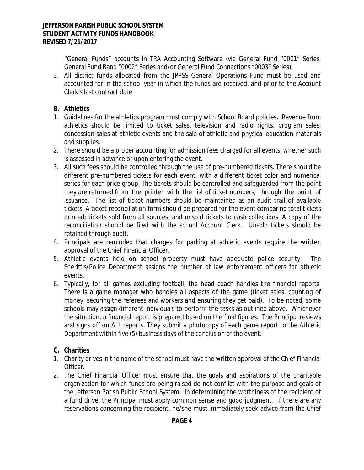"General Funds" accounts in TRA Accounting Software (via General Fund "0001" Series, General Fund Band "0002" Series and/or General Fund Connections "0003" Series).

3. All district funds allocated from the JPPSS General Operations Fund must be used and accounted for in the school year in which the funds are received, and prior to the Account Clerk's last contract date.

# **B. Athletics**

- 1. Guidelines for the athletics program must comply with School Board policies. Revenue from athletics should be limited to ticket sales, television and radio rights, program sales, concession sales at athletic events and the sale of athletic and physical education materials and supplies.
- 2. There should be a proper accounting for admission fees charged for all events, whether such is assessed in advance or upon entering the event.
- 3. All such fees should be controlled through the use of pre-numbered tickets. There should be different pre-numbered tickets for each event, with a different ticket color and numerical series for each price group. The tickets should be controlled and safeguarded from the point they are returned from the printer with the list of ticket numbers, through the point of issuance. The list of ticket numbers should be maintained as an audit trail of available tickets. A ticket reconciliation form should be prepared for the event comparing total tickets printed; tickets sold from all sources; and unsold tickets to cash collections. A copy of the reconciliation should be filed with the school Account Clerk. Unsold tickets should be retained through audit.
- 4. Principals are reminded that charges for parking at athletic events require the written approval of the Chief Financial Officer.
- 5. Athletic events held on school property must have adequate police security. The Sheriff's/Police Department assigns the number of law enforcement officers for athletic events.
- 6. Typically, for all games excluding football, the head coach handles the financial reports. There is a game manager who handles all aspects of the game (ticket sales, counting of money, securing the referees and workers and ensuring they get paid). To be noted, some schools may assign different individuals to perform the tasks as outlined above. Whichever the situation, a financial report is prepared based on the final figures. The Principal reviews and signs off on ALL reports. They submit a photocopy of each game report to the Athletic Department within five (5) business days of the conclusion of the event.

# **C. Charities**

- 1. Charity drives in the name of the school must have the written approval of the Chief Financial Officer.
- 2. The Chief Financial Officer must ensure that the goals and aspirations of the charitable organization for which funds are being raised do not conflict with the purpose and goals of the Jefferson Parish Public School System. In determining the worthiness of the recipient of a fund drive, the Principal must apply common sense and good judgment. If there are any reservations concerning the recipient, he/she must immediately seek advice from the Chief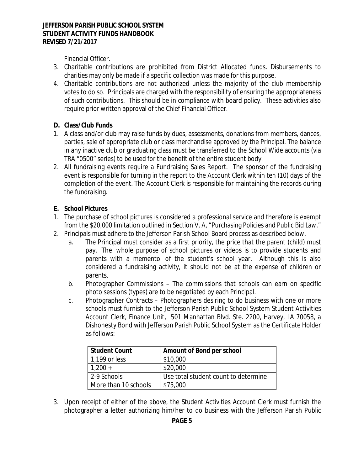Financial Officer.

- 3. Charitable contributions are prohibited from District Allocated funds. Disbursements to charities may only be made if a specific collection was made for this purpose.
- 4. Charitable contributions are not authorized unless the majority of the club membership votes to do so. Principals are charged with the responsibility of ensuring the appropriateness of such contributions. This should be in compliance with board policy. These activities also require prior written approval of the Chief Financial Officer.

# **D. Class/Club Funds**

- 1. A class and/or club may raise funds by dues, assessments, donations from members, dances, parties, sale of appropriate club or class merchandise approved by the Principal. The balance in any inactive club or graduating class must be transferred to the School Wide accounts (via TRA "0500" series) to be used for the benefit of the entire student body.
- 2. All fundraising events require a Fundraising Sales Report. The sponsor of the fundraising event is responsible for turning in the report to the Account Clerk within ten (10) days of the completion of the event. The Account Clerk is responsible for maintaining the records during the fundraising.

## **E. School Pictures**

- 1. The purchase of school pictures is considered a professional service and therefore is exempt from the \$20,000 limitation outlined in Section V, A, "Purchasing Policies and Public Bid Law."
- 2. Principals must adhere to the Jefferson Parish School Board process as described below.
	- a. The Principal must consider as a first priority, the price that the parent (child) must pay. The whole purpose of school pictures or videos is to provide students and parents with a memento of the student's school year. Although this is also considered a fundraising activity, it should not be at the expense of children or parents.
	- b. Photographer Commissions The commissions that schools can earn on specific photo sessions (types) are to be negotiated by each Principal.
	- c. Photographer Contracts Photographers desiring to do business with one or more schools must furnish to the Jefferson Parish Public School System Student Activities Account Clerk, Finance Unit, 501 Manhattan Blvd. Ste. 2200, Harvey, LA 70058, a Dishonesty Bond with Jefferson Parish Public School System as the Certificate Holder as follows:

| <b>Student Count</b> | Amount of Bond per school            |
|----------------------|--------------------------------------|
| 1,199 or less        | \$10,000                             |
| $1,200 +$            | \$20,000                             |
| 2-9 Schools          | Use total student count to determine |
| More than 10 schools | \$75,000                             |

3. Upon receipt of either of the above, the Student Activities Account Clerk must furnish the photographer a letter authorizing him/her to do business with the Jefferson Parish Public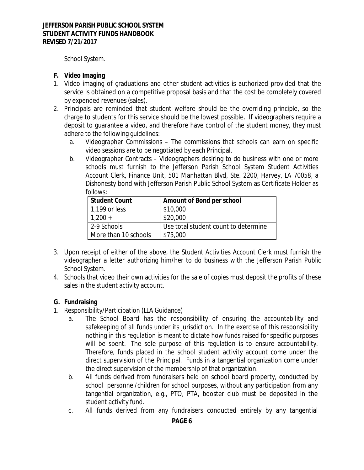School System.

## **F. Video Imaging**

- 1. Video imaging of graduations and other student activities is authorized provided that the service is obtained on a competitive proposal basis and that the cost be completely covered by expended revenues (sales).
- 2. Principals are reminded that student welfare should be the overriding principle, so the charge to students for this service should be the lowest possible. If videographers require a deposit to guarantee a video, and therefore have control of the student money, they must adhere to the following guidelines:
	- a. Videographer Commissions The commissions that schools can earn on specific video sessions are to be negotiated by each Principal.
	- b. Videographer Contracts Videographers desiring to do business with one or more schools must furnish to the Jefferson Parish School System Student Activities Account Clerk, Finance Unit, 501 Manhattan Blvd, Ste. 2200, Harvey, LA 70058, a Dishonesty bond with Jefferson Parish Public School System as Certificate Holder as follows:

| <b>Student Count</b> | Amount of Bond per school            |
|----------------------|--------------------------------------|
| 1,199 or less        | \$10,000                             |
| $1,200 +$            | \$20,000                             |
| 2-9 Schools          | Use total student count to determine |
| More than 10 schools | \$75,000                             |

- 3. Upon receipt of either of the above, the Student Activities Account Clerk must furnish the videographer a letter authorizing him/her to do business with the Jefferson Parish Public School System.
- 4. Schools that video their own activities for the sale of copies must deposit the profits of these sales in the student activity account.

## **G. Fundraising**

- 1. Responsibility/Participation (LLA Guidance)
	- a. The School Board has the responsibility of ensuring the accountability and safekeeping of all funds under its jurisdiction. In the exercise of this responsibility nothing in this regulation is meant to dictate how funds raised for specific purposes will be spent. The sole purpose of this regulation is to ensure accountability. Therefore, funds placed in the school student activity account come under the direct supervision of the Principal. Funds in a tangential organization come under the direct supervision of the membership of that organization.
	- b. All funds derived from fundraisers held on school board property, conducted by school personnel/children for school purposes, without any participation from any tangential organization, e.g., PTO, PTA, booster club must be deposited in the student activity fund.
	- c. All funds derived from any fundraisers conducted entirely by any tangential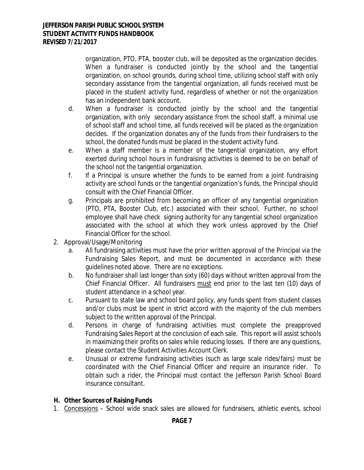organization, PTO, PTA, booster club, will be deposited as the organization decides. When a fundraiser is conducted jointly by the school and the tangential organization, on school grounds, during school time, utilizing school staff with only secondary assistance from the tangential organization, all funds received must be placed in the student activity fund, regardless of whether or not the organization has an independent bank account.

- d. When a fundraiser is conducted jointly by the school and the tangential organization, with only secondary assistance from the school staff, a minimal use of school staff and school time, all funds received will be placed as the organization decides. If the organization donates any of the funds from their fundraisers to the school, the donated funds must be placed in the student activity fund.
- e. When a staff member is a member of the tangential organization, any effort exerted during school hours in fundraising activities is deemed to be on behalf of the school not the tangential organization.
- f. If a Principal is unsure whether the funds to be earned from a joint fundraising activity are school funds or the tangential organization's funds, the Principal should consult with the Chief Financial Officer.
- g. Principals are prohibited from becoming an officer of any tangential organization (PTO, PTA, Booster Club, etc.) associated with their school. Further, no school employee shall have check signing authority for any tangential school organization associated with the school at which they work unless approved by the Chief Financial Officer for the school.
- 2. Approval/Usage/Monitoring
	- a. All fundraising activities must have the prior written approval of the Principal via the Fundraising Sales Report, and must be documented in accordance with these guidelines noted above. There are no exceptions.
	- b. No fundraiser shall last longer than sixty (60) days without written approval from the Chief Financial Officer. All fundraisers must end prior to the last ten (10) days of student attendance in a school year.
	- c. Pursuant to state law and school board policy, any funds spent from student classes and/or clubs must be spent in strict accord with the majority of the club members subject to the written approval of the Principal.
	- d. Persons in charge of fundraising activities must complete the preapproved Fundraising Sales Report at the conclusion of each sale. This report will assist schools in maximizing their profits on sales while reducing losses. If there are any questions, please contact the Student Activities Account Clerk.
	- e. Unusual or extreme fundraising activities (such as large scale rides/fairs) must be coordinated with the Chief Financial Officer and require an insurance rider. To obtain such a rider, the Principal must contact the Jefferson Parish School Board insurance consultant.

# **H. Other Sources of Raising Funds**

1. Concessions – School wide snack sales are allowed for fundraisers, athletic events, school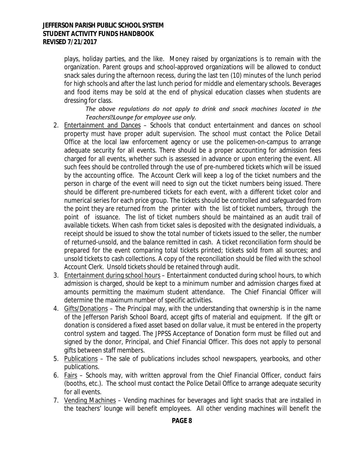plays, holiday parties, and the like. Money raised by organizations is to remain with the organization. Parent groups and school-approved organizations will be allowed to conduct snack sales during the afternoon recess, during the last ten (10) minutes of the lunch period for high schools and after the last lunch period for middle and elementary schools. Beverages and food items may be sold at the end of physical education classes when students are dressing for class.

*The above regulations do not apply to drink and snack machines located in the Teachers' Lounge for employee use only.*

- 2. Entertainment and Dances Schools that conduct entertainment and dances on school property must have proper adult supervision. The school must contact the Police Detail Office at the local law enforcement agency or use the policemen-on-campus to arrange adequate security for all events. There should be a proper accounting for admission fees charged for all events, whether such is assessed in advance or upon entering the event. All such fees should be controlled through the use of pre-numbered tickets which will be issued by the accounting office. The Account Clerk will keep a log of the ticket numbers and the person in charge of the event will need to sign out the ticket numbers being issued. There should be different pre-numbered tickets for each event, with a different ticket color and numerical series for each price group. The tickets should be controlled and safeguarded from the point they are returned from the printer with the list of ticket numbers, through the point of issuance. The list of ticket numbers should be maintained as an audit trail of available tickets. When cash from ticket sales is deposited with the designated individuals, a receipt should be issued to show the total number of tickets issued to the seller, the number of returned-unsold, and the balance remitted in cash. A ticket reconciliation form should be prepared for the event comparing total tickets printed; tickets sold from all sources; and unsold tickets to cash collections. A copy of the reconciliation should be filed with the school Account Clerk. Unsold tickets should be retained through audit.
- 3. Entertainment during school hours Entertainment conducted during school hours, to which admission is charged, should be kept to a minimum number and admission charges fixed at amounts permitting the maximum student attendance. The Chief Financial Officer will determine the maximum number of specific activities.
- 4. Gifts/Donations The Principal may, with the understanding that ownership is in the name of the Jefferson Parish School Board, accept gifts of material and equipment. If the gift or donation is considered a fixed asset based on dollar value, it must be entered in the property control system and tagged. The JPPSS Acceptance of Donation form must be filled out and signed by the donor, Principal, and Chief Financial Officer. This does not apply to personal gifts between staff members.
- 5. Publications The sale of publications includes school newspapers, yearbooks, and other publications.
- 6. Fairs Schools may, with written approval from the Chief Financial Officer, conduct fairs (booths, etc.). The school must contact the Police Detail Office to arrange adequate security for all events.
- 7. Vending Machines Vending machines for beverages and light snacks that are installed in the teachers' lounge will benefit employees. All other vending machines will benefit the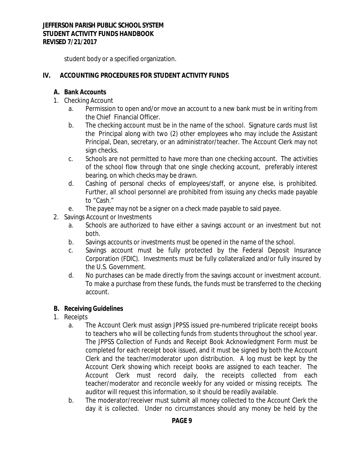student body or a specified organization.

## **IV. ACCOUNTING PROCEDURES FOR STUDENT ACTIVITY FUNDS**

#### **A. Bank Accounts**

- 1. Checking Account
	- a. Permission to open and/or move an account to a new bank must be in writing from the Chief Financial Officer.
	- b. The checking account must be in the name of the school. Signature cards must list the Principal along with two (2) other employees who may include the Assistant Principal, Dean, secretary, or an administrator/teacher. The Account Clerk may not sign checks.
	- c. Schools are not permitted to have more than one checking account. The activities of the school flow through that one single checking account, preferably interest bearing, on which checks may be drawn.
	- d. Cashing of personal checks of employees/staff, or anyone else, is prohibited. Further, all school personnel are prohibited from issuing any checks made payable to "Cash."
	- e. The payee may not be a signer on a check made payable to said payee.
- 2. Savings Account or Investments
	- a. Schools are authorized to have either a savings account or an investment but not both.
	- b. Savings accounts or investments must be opened in the name of the school.
	- c. Savings account must be fully protected by the Federal Deposit Insurance Corporation (FDIC). Investments must be fully collateralized and/or fully insured by the U.S. Government.
	- d. No purchases can be made directly from the savings account or investment account. To make a purchase from these funds, the funds must be transferred to the checking account.

## **B. Receiving Guidelines**

- 1. Receipts
	- a. The Account Clerk must assign JPPSS issued pre-numbered triplicate receipt books to teachers who will be collecting funds from students throughout the school year. The JPPSS Collection of Funds and Receipt Book Acknowledgment Form must be completed for each receipt book issued, and it must be signed by both the Account Clerk and the teacher/moderator upon distribution. A log must be kept by the Account Clerk showing which receipt books are assigned to each teacher. The Account Clerk must record daily, the receipts collected from each teacher/moderator and reconcile weekly for any voided or missing receipts. The auditor will request this information, so it should be readily available.
	- b. The moderator/receiver must submit all money collected to the Account Clerk the day it is collected. Under no circumstances should any money be held by the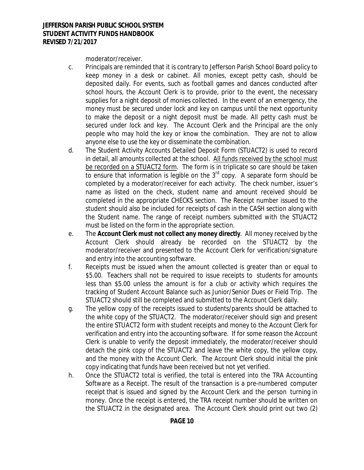moderator/receiver.

- c. Principals are reminded that it is contrary to Jefferson Parish School Board policy to keep money in a desk or cabinet. All monies, except petty cash, should be deposited daily. For events, such as football games and dances conducted after school hours, the Account Clerk is to provide, prior to the event, the necessary supplies for a night deposit of monies collected. In the event of an emergency, the money must be secured under lock and key on campus until the next opportunity to make the deposit or a night deposit must be made. All petty cash must be secured under lock and key. The Account Clerk and the Principal are the only people who may hold the key or know the combination. They are not to allow anyone else to use the key or disseminate the combination.
- d. The Student Activity Accounts Detailed Deposit Form (STUACT2) is used to record in detail, all amounts collected at the school. All funds received by the school must be recorded on a STUACT2 form. The form is in triplicate so care should be taken to ensure that information is legible on the  $3<sup>rd</sup>$  copy. A separate form should be completed by a moderator/receiver for each activity. The check number, issuer's name as listed on the check, student name and amount received should be completed in the appropriate CHECKS section. The Receipt number issued to the student should also be included for receipts of cash in the CASH section along with the Student name. The range of receipt numbers submitted with the STUACT2 must be listed on the form in the appropriate section.
- e. The **Account Clerk must not collect any money directly**. All money received by the Account Clerk should already be recorded on the STUACT2 by the moderator/receiver and presented to the Account Clerk for verification/signature and entry into the accounting software.
- f. Receipts must be issued when the amount collected is greater than or equal to \$5.00. Teachers shall not be required to issue receipts to students for amounts less than \$5.00 unless the amount is for a club or activity which requires the tracking of Student Account Balance such as Junior/Senior Dues or Field Trip. The STUACT2 should still be completed and submitted to the Account Clerk daily.
- g. The yellow copy of the receipts issued to students/parents should be attached to the white copy of the STUACT2. The moderator/receiver should sign and present the entire STUACT2 form with student receipts and money to the Account Clerk for verification and entry into the accounting software. If for some reason the Account Clerk is unable to verify the deposit immediately, the moderator/receiver should detach the pink copy of the STUACT2 and leave the white copy, the yellow copy, and the money with the Account Clerk. The Account Clerk should initial the pink copy indicating that funds have been received but not yet verified.
- h. Once the STUACT2 total is verified, the total is entered into the TRA Accounting Software as a Receipt. The result of the transaction is a pre-numbered computer receipt that is issued and signed by the Account Clerk and the person turning in money. Once the receipt is entered, the TRA receipt number should be written on the STUACT2 in the designated area. The Account Clerk should print out two (2)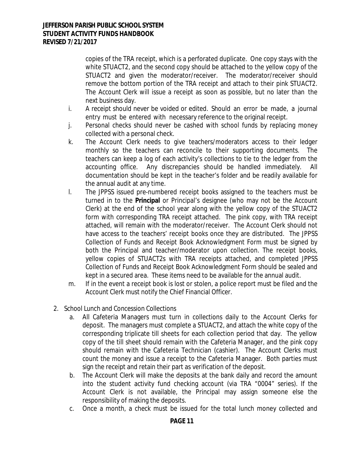copies of the TRA receipt, which is a perforated duplicate. One copy stays with the white STUACT2, and the second copy should be attached to the yellow copy of the STUACT2 and given the moderator/receiver. The moderator/receiver should remove the bottom portion of the TRA receipt and attach to their pink STUACT2. The Account Clerk will issue a receipt as soon as possible, but no later than the next business day.

- i. A receipt should never be voided or edited. Should an error be made, a journal entry must be entered with necessary reference to the original receipt.
- j. Personal checks should never be cashed with school funds by replacing money collected with a personal check.
- k. The Account Clerk needs to give teachers/moderators access to their ledger monthly so the teachers can reconcile to their supporting documents. The teachers can keep a log of each activity's collections to tie to the ledger from the accounting office. Any discrepancies should be handled immediately. All documentation should be kept in the teacher's folder and be readily available for the annual audit at any time.
- l. The JPPSS issued pre-numbered receipt books assigned to the teachers must be turned in to the **Principal** or Principal's designee (who may not be the Account Clerk) at the end of the school year along with the yellow copy of the STUACT2 form with corresponding TRA receipt attached. The pink copy, with TRA receipt attached, will remain with the moderator/receiver. The Account Clerk should not have access to the teachers' receipt books once they are distributed. The JPPSS Collection of Funds and Receipt Book Acknowledgment Form must be signed by both the Principal and teacher/moderator upon collection. The receipt books, yellow copies of STUACT2s with TRA receipts attached, and completed JPPSS Collection of Funds and Receipt Book Acknowledgment Form should be sealed and kept in a secured area. These items need to be available for the annual audit.
- m. If in the event a receipt book is lost or stolen, a police report must be filed and the Account Clerk must notify the Chief Financial Officer.
- 2. School Lunch and Concession Collections
	- a. All Cafeteria Managers must turn in collections daily to the Account Clerks for deposit. The managers must complete a STUACT2, and attach the white copy of the corresponding triplicate till sheets for each collection period that day. The yellow copy of the till sheet should remain with the Cafeteria Manager, and the pink copy should remain with the Cafeteria Technician (cashier). The Account Clerks must count the money and issue a receipt to the Cafeteria Manager. Both parties must sign the receipt and retain their part as verification of the deposit.
	- b. The Account Clerk will make the deposits at the bank daily and record the amount into the student activity fund checking account (via TRA "0004" series). If the Account Clerk is not available, the Principal may assign someone else the responsibility of making the deposits.
	- c. Once a month, a check must be issued for the total lunch money collected and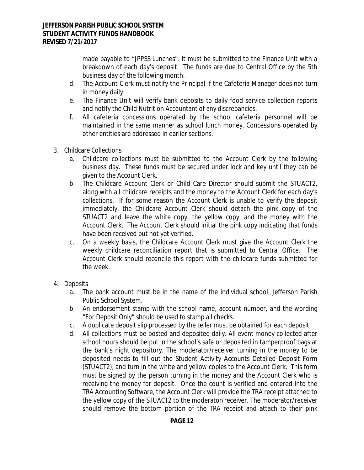made payable to "JPPSS Lunches". It must be submitted to the Finance Unit with a breakdown of each day's deposit. The funds are due to Central Office by the 5th business day of the following month.

- d. The Account Clerk must notify the Principal if the Cafeteria Manager does not turn in money daily.
- e. The Finance Unit will verify bank deposits to daily food service collection reports and notify the Child Nutrition Accountant of any discrepancies.
- f. All cafeteria concessions operated by the school cafeteria personnel will be maintained in the same manner as school lunch money. Concessions operated by other entities are addressed in earlier sections.
- 3. Childcare Collections
	- a. Childcare collections must be submitted to the Account Clerk by the following business day. These funds must be secured under lock and key until they can be given to the Account Clerk.
	- b. The Childcare Account Clerk or Child Care Director should submit the STUACT2, along with all childcare receipts and the money to the Account Clerk for each day's collections. If for some reason the Account Clerk is unable to verify the deposit immediately, the Childcare Account Clerk should detach the pink copy of the STUACT2 and leave the white copy, the yellow copy, and the money with the Account Clerk. The Account Clerk should initial the pink copy indicating that funds have been received but not yet verified.
	- c. On a weekly basis, the Childcare Account Clerk must give the Account Clerk the weekly childcare reconciliation report that is submitted to Central Office. The Account Clerk should reconcile this report with the childcare funds submitted for the week.
- 4. Deposits
	- a. The bank account must be in the name of the individual school, Jefferson Parish Public School System.
	- b. An endorsement stamp with the school name, account number, and the wording "For Deposit Only" should be used to stamp all checks.
	- c. A duplicate deposit slip processed by the teller must be obtained for each deposit.
	- d. All collections must be posted and deposited daily. All event money collected after school hours should be put in the school's safe or deposited in tamperproof bags at the bank's night depository. The moderator/receiver turning in the money to be deposited needs to fill out the Student Activity Accounts Detailed Deposit Form (STUACT2), and turn in the white and yellow copies to the Account Clerk. This form must be signed by the person turning in the money and the Account Clerk who is receiving the money for deposit. Once the count is verified and entered into the TRA Accounting Software, the Account Clerk will provide the TRA receipt attached to the yellow copy of the STUACT2 to the moderator/receiver. The moderator/receiver should remove the bottom portion of the TRA receipt and attach to their pink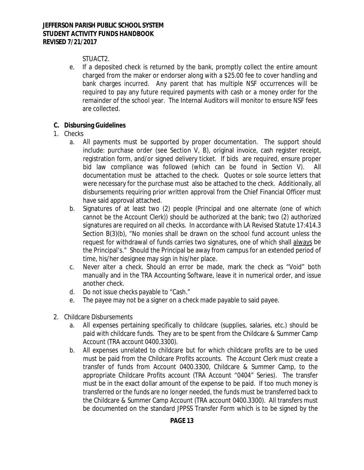# STUACT2.

e. If a deposited check is returned by the bank, promptly collect the entire amount charged from the maker or endorser along with a \$25.00 fee to cover handling and bank charges incurred. Any parent that has multiple NSF occurrences will be required to pay any future required payments with cash or a money order for the remainder of the school year. The Internal Auditors will monitor to ensure NSF fees are collected.

## **C. Disbursing Guidelines**

- 1. Checks
	- a. All payments must be supported by proper documentation. The support should include: purchase order (see Section V, B), original invoice, cash register receipt, registration form, and/or signed delivery ticket. If bids are required, ensure proper bid law compliance was followed (which can be found in Section V). All documentation must be attached to the check. Quotes or sole source letters that were necessary for the purchase must also be attached to the check. Additionally, all disbursements requiring prior written approval from the Chief Financial Officer must have said approval attached.
	- b. Signatures of at least two (2) people (Principal and one alternate (one of which cannot be the Account Clerk)) should be authorized at the bank; two (2) authorized signatures are required on all checks. In accordance with LA Revised Statute 17:414.3 Section B(3)(b), "No monies shall be drawn on the school fund account unless the request for withdrawal of funds carries two signatures, one of which shall always be the Principal's." Should the Principal be away from campus for an extended period of time, his/her designee may sign in his/her place.
	- c. Never alter a check. Should an error be made, mark the check as "Void" both manually and in the TRA Accounting Software, leave it in numerical order, and issue another check.
	- d. Do not issue checks payable to "Cash."
	- e. The payee may not be a signer on a check made payable to said payee.
- 2. Childcare Disbursements
	- a. All expenses pertaining specifically to childcare (supplies, salaries, etc.) should be paid with childcare funds. They are to be spent from the Childcare & Summer Camp Account (TRA account 0400.3300).
	- b. All expenses unrelated to childcare but for which childcare profits are to be used must be paid from the Childcare Profits accounts. The Account Clerk must create a transfer of funds from Account 0400.3300, Childcare & Summer Camp, to the appropriate Childcare Profits account (TRA Account "0404" Series). The transfer must be in the exact dollar amount of the expense to be paid. If too much money is transferred or the funds are no longer needed, the funds must be transferred back to the Childcare & Summer Camp Account (TRA account 0400.3300). All transfers must be documented on the standard JPPSS Transfer Form which is to be signed by the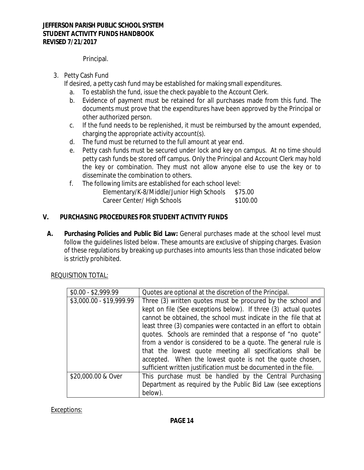Principal.

3. Petty Cash Fund

If desired, a petty cash fund may be established for making small expenditures.

- a. To establish the fund, issue the check payable to the Account Clerk.
- b. Evidence of payment must be retained for all purchases made from this fund. The documents must prove that the expenditures have been approved by the Principal or other authorized person.
- c. If the fund needs to be replenished, it must be reimbursed by the amount expended, charging the appropriate activity account(s).
- d. The fund must be returned to the full amount at year end.
- e. Petty cash funds must be secured under lock and key on campus. At no time should petty cash funds be stored off campus. Only the Principal and Account Clerk may hold the key or combination. They must not allow anyone else to use the key or to disseminate the combination to others.
- f. The following limits are established for each school level: Elementary/K-8/Middle/Junior High Schools \$75.00 Career Center/ High Schools \$100.00

## **V. PURCHASING PROCEDURES FOR STUDENT ACTIVITY FUNDS**

**A. Purchasing Policies and Public Bid Law:** General purchases made at the school level must follow the guidelines listed below. These amounts are exclusive of shipping charges. Evasion of these regulations by breaking up purchases into amounts less than those indicated below is strictly prohibited.

REQUISITION TOTAL:

| $$0.00 - $2,999.99$      | Quotes are optional at the discretion of the Principal.          |
|--------------------------|------------------------------------------------------------------|
| \$3,000.00 - \$19,999.99 | Three (3) written quotes must be procured by the school and      |
|                          | kept on file (See exceptions below). If three (3) actual quotes  |
|                          | cannot be obtained, the school must indicate in the file that at |
|                          | least three (3) companies were contacted in an effort to obtain  |
|                          | quotes. Schools are reminded that a response of "no quote"       |
|                          | from a vendor is considered to be a quote. The general rule is   |
|                          | that the lowest quote meeting all specifications shall be        |
|                          | accepted. When the lowest quote is not the quote chosen,         |
|                          | sufficient written justification must be documented in the file. |
| \$20,000.00 & Over       | This purchase must be handled by the Central Purchasing          |
|                          | Department as required by the Public Bid Law (see exceptions     |
|                          | below).                                                          |

Exceptions: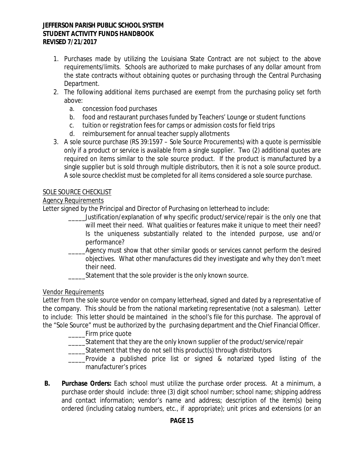- 1. Purchases made by utilizing the Louisiana State Contract are not subject to the above requirements/limits. Schools are authorized to make purchases of any dollar amount from the state contracts without obtaining quotes or purchasing through the Central Purchasing Department.
- 2. The following additional items purchased are exempt from the purchasing policy set forth above:
	- a. concession food purchases
	- b. food and restaurant purchases funded by Teachers' Lounge or student functions
	- c. tuition or registration fees for camps or admission costs for field trips
	- d. reimbursement for annual teacher supply allotments
- 3. A sole source purchase (RS 39:1597 Sole Source Procurements) with a quote is permissible only if a product or service is available from a single supplier. Two (2) additional quotes are required on items similar to the sole source product. If the product is manufactured by a single supplier but is sold through multiple distributors, then it is not a sole source product. A sole source checklist must be completed for all items considered a sole source purchase.

## SOLE SOURCE CHECKLIST

## Agency Requirements

Letter signed by the Principal and Director of Purchasing on letterhead to include:

- \_\_\_\_\_Justification/explanation of why specific product/service/repair is the only one that will meet their need. What qualities or features make it unique to meet their need? Is the uniqueness substantially related to the intended purpose, use and/or performance?
- Agency must show that other similar goods or services cannot perform the desired objectives. What other manufactures did they investigate and why they don't meet their need.
- Statement that the sole provider is the only known source.

## Vendor Requirements

Letter from the sole source vendor on company letterhead, signed and dated by a representative of the company. This should be from the national marketing representative (not a salesman). Letter to include: This letter should be maintained in the school's file for this purchase. The approval of the "Sole Source" must be authorized by the purchasing department and the Chief Financial Officer.

- \_\_\_\_\_Firm price quote
- \_\_\_\_\_Statement that they are the only known supplier of the product/service/repair
- Statement that they do not sell this product(s) through distributors
- \_\_\_\_\_Provide a published price list or signed & notarized typed listing of the manufacturer's prices
- **B. Purchase Orders:** Each school must utilize the purchase order process. At a minimum, a purchase order should include: three (3) digit school number; school name; shipping address and contact information; vendor's name and address; description of the item(s) being ordered (including catalog numbers, etc., if appropriate); unit prices and extensions (or an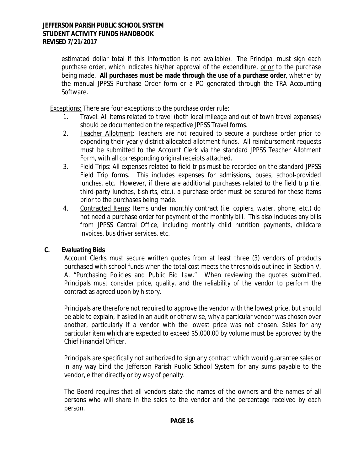estimated dollar total if this information is not available). The Principal must sign each purchase order, which indicates his/her approval of the expenditure, prior to the purchase being made. **All purchases must be made through the use of a purchase order**, whether by the manual JPPSS Purchase Order form or a PO generated through the TRA Accounting Software.

Exceptions: There are four exceptions to the purchase order rule:

- 1. Travel: All items related to travel (both local mileage and out of town travel expenses) should be documented on the respective JPPSS Travel forms.
- 2. Teacher Allotment: Teachers are not required to secure a purchase order prior to expending their yearly district-allocated allotment funds. All reimbursement requests must be submitted to the Account Clerk via the standard JPPSS Teacher Allotment Form, with all corresponding original receipts attached.
- 3. Field Trips: All expenses related to field trips must be recorded on the standard JPPSS Field Trip forms. This includes expenses for admissions, buses, school-provided lunches, etc. However, if there are additional purchases related to the field trip (i.e. third-party lunches, t-shirts, etc.), a purchase order must be secured for these items prior to the purchases being made.
- 4. Contracted Items: Items under monthly contract (i.e. copiers, water, phone, etc.) do not need a purchase order for payment of the monthly bill. This also includes any bills from JPPSS Central Office, including monthly child nutrition payments, childcare invoices, bus driver services, etc.

# **C. Evaluating Bids**

Account Clerks must secure written quotes from at least three (3) vendors of products purchased with school funds when the total cost meets the thresholds outlined in Section V, A, "Purchasing Policies and Public Bid Law." When reviewing the quotes submitted, Principals must consider price, quality, and the reliability of the vendor to perform the contract as agreed upon by history.

Principals are therefore not required to approve the vendor with the lowest price, but should be able to explain, if asked in an audit or otherwise, why a particular vendor was chosen over another, particularly if a vendor with the lowest price was not chosen. Sales for any particular item which are expected to exceed \$5,000.00 by volume must be approved by the Chief Financial Officer.

Principals are specifically not authorized to sign any contract which would guarantee sales or in any way bind the Jefferson Parish Public School System for any sums payable to the vendor, either directly or by way of penalty.

The Board requires that all vendors state the names of the owners and the names of all persons who will share in the sales to the vendor and the percentage received by each person.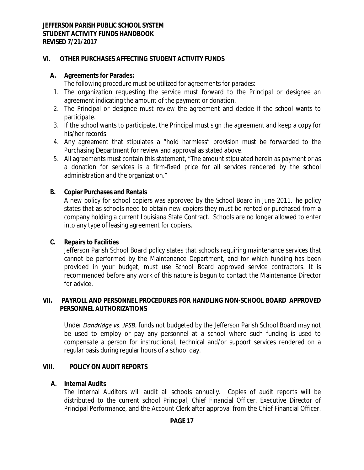## **VI. OTHER PURCHASES AFFECTING STUDENT ACTIVITY FUNDS**

## **A. Agreements for Parades:**

The following procedure must be utilized for agreements for parades:

- 1. The organization requesting the service must forward to the Principal or designee an agreement indicating the amount of the payment or donation.
- 2. The Principal or designee must review the agreement and decide if the school wants to participate.
- 3. If the school wants to participate, the Principal must sign the agreement and keep a copy for his/her records.
- 4. Any agreement that stipulates a "hold harmless" provision must be forwarded to the Purchasing Department for review and approval as stated above.
- 5. All agreements must contain this statement, "The amount stipulated herein as payment or as a donation for services is a firm-fixed price for all services rendered by the school administration and the organization."

## **B. Copier Purchases and Rentals**

A new policy for school copiers was approved by the School Board in June 2011.The policy states that as schools need to obtain new copiers they must be rented or purchased from a company holding a current Louisiana State Contract. Schools are no longer allowed to enter into any type of leasing agreement for copiers.

## **C. Repairs to Facilities**

Jefferson Parish School Board policy states that schools requiring maintenance services that cannot be performed by the Maintenance Department, and for which funding has been provided in your budget, must use School Board approved service contractors. It is recommended before any work of this nature is begun to contact the Maintenance Director for advice.

## **VII. PAYROLL AND PERSONNEL PROCEDURES FOR HANDLING NON-SCHOOL BOARD APPROVED PERSONNEL AUTHORIZATIONS**

Under *Dandridge vs. JPSB*, funds not budgeted by the Jefferson Parish School Board may not be used to employ or pay any personnel at a school where such funding is used to compensate a person for instructional, technical and/or support services rendered on a regular basis during regular hours of a school day.

## **VIII. POLICY ON AUDIT REPORTS**

## **A. Internal Audits**

The Internal Auditors will audit all schools annually. Copies of audit reports will be distributed to the current school Principal, Chief Financial Officer, Executive Director of Principal Performance, and the Account Clerk after approval from the Chief Financial Officer.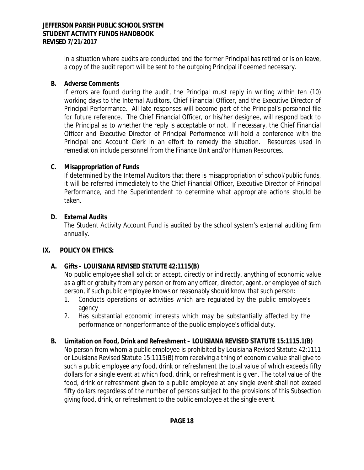In a situation where audits are conducted and the former Principal has retired or is on leave, a copy of the audit report will be sent to the outgoing Principal if deemed necessary.

## **B. Adverse Comments**

If errors are found during the audit, the Principal must reply in writing within ten (10) working days to the Internal Auditors, Chief Financial Officer, and the Executive Director of Principal Performance. All late responses will become part of the Principal's personnel file for future reference. The Chief Financial Officer, or his/her designee, will respond back to the Principal as to whether the reply is acceptable or not. If necessary, the Chief Financial Officer and Executive Director of Principal Performance will hold a conference with the Principal and Account Clerk in an effort to remedy the situation. Resources used in remediation include personnel from the Finance Unit and/or Human Resources.

## **C. Misappropriation of Funds**

If determined by the Internal Auditors that there is misappropriation of school/public funds, it will be referred immediately to the Chief Financial Officer, Executive Director of Principal Performance, and the Superintendent to determine what appropriate actions should be taken.

## **D. External Audits**

The Student Activity Account Fund is audited by the school system's external auditing firm annually.

## **IX. POLICY ON ETHICS:**

# **A. Gifts – LOUISIANA REVISED STATUTE 42:1115(B)**

No public employee shall solicit or accept, directly or indirectly, anything of economic value as a gift or gratuity from any person or from any officer, director, agent, or employee of such person, if such public employee knows or reasonably should know that such person:

- 1. Conducts operations or activities which are regulated by the public employee's agency
- 2. Has substantial economic interests which may be substantially affected by the performance or nonperformance of the public employee's official duty.

# **B. Limitation on Food, Drink and Refreshment – LOUISIANA REVISED STATUTE 15:1115.1(B)**

No person from whom a public employee is prohibited by Louisiana Revised Statute 42:1111 or Louisiana Revised Statute 15:1115(B) from receiving a thing of economic value shall give to such a public employee any food, drink or refreshment the total value of which exceeds fifty dollars for a single event at which food, drink, or refreshment is given. The total value of the food, drink or refreshment given to a public employee at any single event shall not exceed fifty dollars regardless of the number of persons subject to the provisions of this Subsection giving food, drink, or refreshment to the public employee at the single event.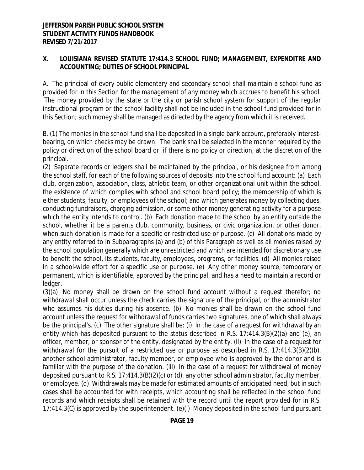## **X. LOUISIANA REVISED STATUTE 17:414.3 SCHOOL FUND; MANAGEMENT, EXPENDITRE AND ACCOUNTING; DUTIES OF SCHOOL PRINCIPAL**

A. The principal of every public elementary and secondary school shall maintain a school fund as provided for in this Section for the management of any money which accrues to benefit his school. The money provided by the state or the city or parish school system for support of the regular instructional program or the school facility shall not be included in the school fund provided for in this Section; such money shall be managed as directed by the agency from which it is received.

B. (1) The monies in the school fund shall be deposited in a single bank account, preferably interestbearing, on which checks may be drawn. The bank shall be selected in the manner required by the policy or direction of the school board or, if there is no policy or direction, at the discretion of the principal.

(2) Separate records or ledgers shall be maintained by the principal, or his designee from among the school staff, for each of the following sources of deposits into the school fund account: (a) Each club, organization, association, class, athletic team, or other organizational unit within the school, the existence of which complies with school and school board policy; the membership of which is either students, faculty, or employees of the school; and which generates money by collecting dues, conducting fundraisers, charging admission, or some other money generating activity for a purpose which the entity intends to control. (b) Each donation made to the school by an entity outside the school, whether it be a parents club, community, business, or civic organization, or other donor, when such donation is made for a specific or restricted use or purpose. (c) All donations made by any entity referred to in Subparagraphs (a) and (b) of this Paragraph as well as all monies raised by the school population generally which are unrestricted and which are intended for discretionary use to benefit the school, its students, faculty, employees, programs, or facilities. (d) All monies raised in a school-wide effort for a specific use or purpose. (e) Any other money source, temporary or permanent, which is identifiable, approved by the principal, and has a need to maintain a record or ledger.

(3)(a) No money shall be drawn on the school fund account without a request therefor; no withdrawal shall occur unless the check carries the signature of the principal, or the administrator who assumes his duties during his absence. (b) No monies shall be drawn on the school fund account unless the request for withdrawal of funds carries two signatures, one of which shall always be the principal's. (c) The other signature shall be: (i) In the case of a request for withdrawal by an entity which has deposited pursuant to the status described in R.S. 17:414.3(B)(2)(a) and (e), an officer, member, or sponsor of the entity, designated by the entity. (ii) In the case of a request for withdrawal for the pursuit of a restricted use or purpose as described in R.S. 17:414.3(B)(2)(b), another school administrator, faculty member, or employee who is approved by the donor and is familiar with the purpose of the donation. (iii) In the case of a request for withdrawal of money deposited pursuant to R.S. 17:414.3(B)(2)(c) or (d), any other school administrator, faculty member, or employee. (d) Withdrawals may be made for estimated amounts of anticipated need, but in such cases shall be accounted for with receipts, which accounting shall be reflected in the school fund records and which receipts shall be retained with the record until the report provided for in R.S. 17:414.3(C) is approved by the superintendent. (e)(i) Money deposited in the school fund pursuant